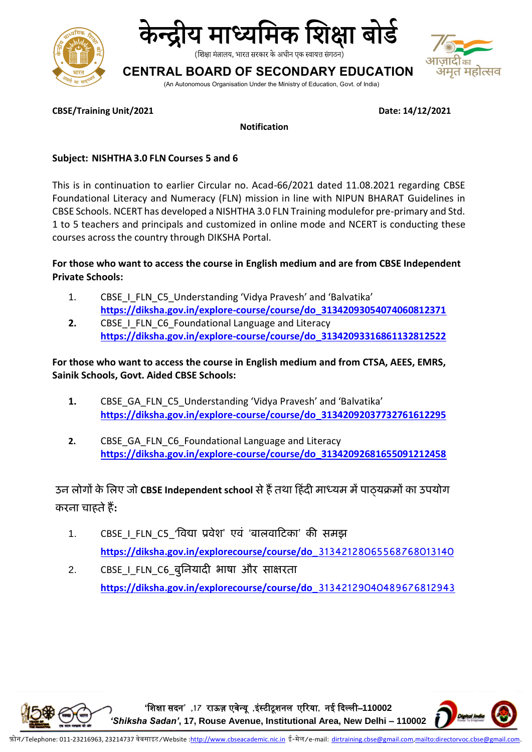



शिक्षा मंत्रालय, भारत सरकार के अधीन एक स्वायत्त संगठन)

## **CENTRAL BOARD OF SECONDARY EDUCATION**

(An Autonomous Organisation Under the Ministry of Education, Govt. of India)



**CBSE/Training Unit/2021 Date: 14/12/2021**

**Notification**

#### **Subject: NISHTHA 3.0 FLN Courses 5 and 6**

This is in continuation to earlier Circular no. Acad-66/2021 dated 11.08.2021 regarding CBSE Foundational Literacy and Numeracy (FLN) mission in line with NIPUN BHARAT Guidelines in CBSE Schools. NCERT has developed a NISHTHA 3.0 FLN Training modulefor pre-primary and Std. 1 to 5 teachers and principals and customized in online mode and NCERT is conducting these courses across the country through DIKSHA Portal.

#### **For those who want to access the course in English medium and are from CBSE Independent Private Schools:**

- 1. CBSE I FLN C5 Understanding 'Vidya Pravesh' and 'Balvatika' **[https://diksha.gov.in/explore-course/course/do\\_31342093054074060812371](https://diksha.gov.in/explore-course/course/do_31342093054074060812371)**
- **2.** CBSE I FLN C6 Foundational Language and Literacy **[https://diksha.gov.in/explore-course/course/do\\_31342093316861132812522](https://diksha.gov.in/explore-course/course/do_31342093316861132812522)**

#### **For those who want to access the course in English medium and from CTSA, AEES, EMRS, Sainik Schools, Govt. Aided CBSE Schools:**

- 1. CBSE\_GA\_FLN\_C5\_Understanding 'Vidya Pravesh' and 'Balvatika' **[https://diksha.gov.in/explore-course/course/do\\_31342092037732761612295](https://diksha.gov.in/explore-course/course/do_31342092037732761612295)**
- **2.** CBSE GA FLN C6 Foundational Language and Literacy **[https://diksha.gov.in/explore-course/course/do\\_31342092681655091212458](https://diksha.gov.in/explore-course/course/do_31342092681655091212458)**

## **उन लोगों के ललए जो CBSE Independent school सेहैंतथा हहिंदी माध्यम मेंपाठ्यक्रमों का उपयोग करना चाहतेहैं:**

- 1. CBSE I FLN C5 'विद्या प्रवेश' एवं 'बालवाटिका' की समझ **[https://diksha.gov.in/explorecourse/course/do\\_](https://diksha.gov.in/explorecourse/course/do_31342128065568768013140)31342128065568768013140**
- 2. CBSE I FLN C6 बुनियादी भाषा और साक्षरता **[https://diksha.gov.in/explorecourse/course/do\\_](https://diksha.gov.in/explorecourse/course/do_31342129040489676812943)31342129040489676812943**

**'**शिक्षा सदन**' ,17** राऊज़ एवेन्यू **,**इंस्टीटूिनल एररया**,** नई ददल्ली–**110002**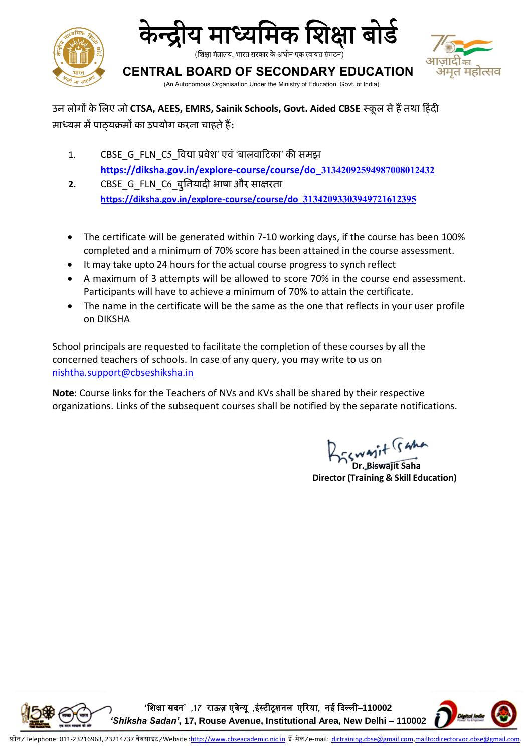



त महोत्सव

(शिक्षा मंत्रालय, भारत सरकार के अधीन एक स्वायत्त संगठन)

**CENTRAL BOARD OF SECONDARY EDUCATION**

(An Autonomous Organisation Under the Ministry of Education, Govt. of India)

**उन लोगों केललए जो CTSA, AEES, EMRS, Sainik Schools, Govt. Aided CBSE स्कू ल सेहैंतथा हहिंदी माध्यम मेंपाठ्यक्रमों का उपयोग करना चाहतेहैं:**

- 1. CBSE\_G\_FLN\_C5\_विद्या प्रवेश' एवं 'बालवाटिका' की समझ **[https://diksha.gov.in/explore-course/course/do\\_](https://diksha.gov.in/explore-course/course/do_31342092594987008012432)31342092594987008012432**
- **2.** CBSE\_G\_FLN\_C6\_बुनियादी भाषा और साक्षरता **[https://diksha.gov.in/explore-course/course/do\\_](https://diksha.gov.in/explore-course/course/do_31342093303949721612395)31342093303949721612395**
- The certificate will be generated within 7-10 working days, if the course has been 100% completed and a minimum of 70% score has been attained in the course assessment.
- It may take upto 24 hours for the actual course progress to synch reflect
- A maximum of 3 attempts will be allowed to score 70% in the course end assessment. Participants will have to achieve a minimum of 70% to attain the certificate.
- The name in the certificate will be the same as the one that reflects in your user profile on DIKSHA

School principals are requested to facilitate the completion of these courses by all the concerned teachers of schools. In case of any query, you may write to us on [nishtha.support@cbseshiksha.in](mailto:nishtha.support@cbseshiksha.in)

**Note**: Course links for the Teachers of NVs and KVs shall be shared by their respective organizations. Links of the subsequent courses shall be notified by the separate notifications.

**Dr. Biswajit (S 4)**<br>Dr. Biswajit Saha

**Director(Training & Skill Education)**